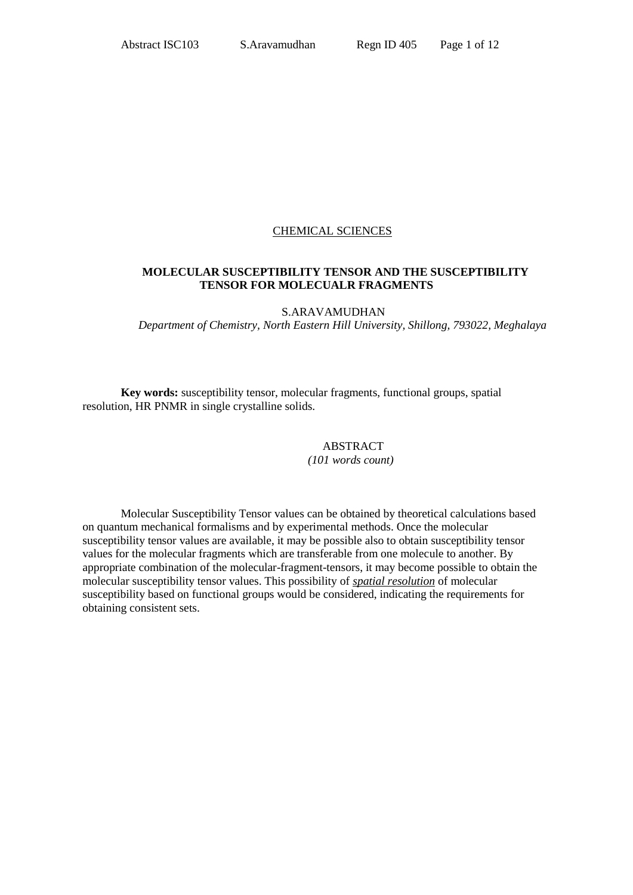### CHEMICAL SCIENCES

### **MOLECULAR SUSCEPTIBILITY TENSOR AND THE SUSCEPTIBILITY TENSOR FOR MOLECUALR FRAGMENTS**

S.ARAVAMUDHAN

*Department of Chemistry, North Eastern Hill University, Shillong, 793022, Meghalaya*

**Key words:** susceptibility tensor, molecular fragments, functional groups, spatial resolution, HR PNMR in single crystalline solids.

#### ABSTRACT *(101 words count)*

Molecular Susceptibility Tensor values can be obtained by theoretical calculations based on quantum mechanical formalisms and by experimental methods. Once the molecular susceptibility tensor values are available, it may be possible also to obtain susceptibility tensor values for the molecular fragments which are transferable from one molecule to another. By appropriate combination of the molecular-fragment-tensors, it may become possible to obtain the molecular susceptibility tensor values. This possibility of *spatial resolution* of molecular susceptibility based on functional groups would be considered, indicating the requirements for obtaining consistent sets.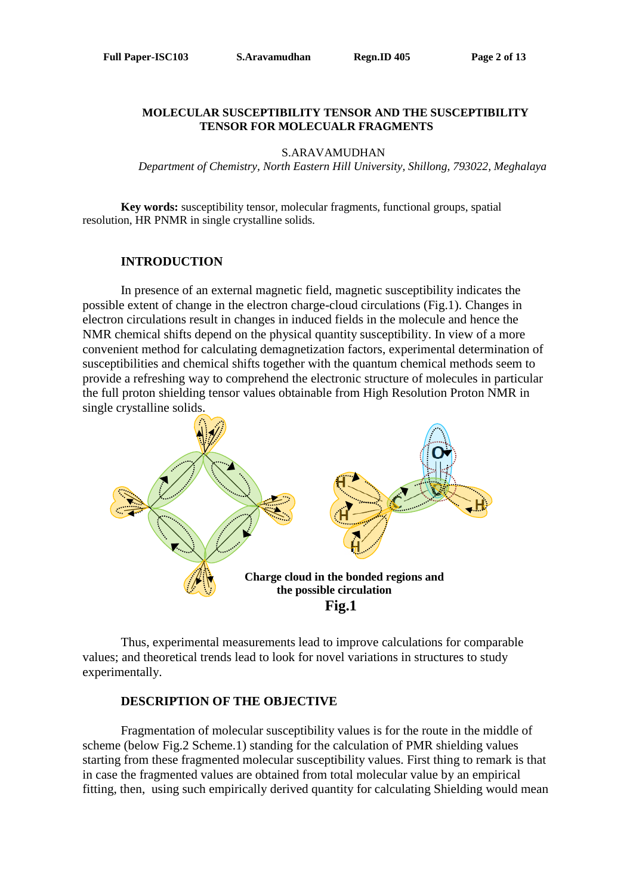### **MOLECULAR SUSCEPTIBILITY TENSOR AND THE SUSCEPTIBILITY TENSOR FOR MOLECUALR FRAGMENTS**

S.ARAVAMUDHAN

*Department of Chemistry, North Eastern Hill University, Shillong, 793022, Meghalaya*

**Key words:** susceptibility tensor, molecular fragments, functional groups, spatial resolution, HR PNMR in single crystalline solids.

# **INTRODUCTION**

In presence of an external magnetic field, magnetic susceptibility indicates the possible extent of change in the electron charge-cloud circulations (Fig.1). Changes in electron circulations result in changes in induced fields in the molecule and hence the NMR chemical shifts depend on the physical quantity susceptibility. In view of a more convenient method for calculating demagnetization factors, experimental determination of susceptibilities and chemical shifts together with the quantum chemical methods seem to provide a refreshing way to comprehend the electronic structure of molecules in particular the full proton shielding tensor values obtainable from High Resolution Proton NMR in single crystalline solids.



Thus, experimental measurements lead to improve calculations for comparable values; and theoretical trends lead to look for novel variations in structures to study experimentally.

### **DESCRIPTION OF THE OBJECTIVE**

Fragmentation of molecular susceptibility values is for the route in the middle of scheme (below Fig.2 Scheme.1) standing for the calculation of PMR shielding values starting from these fragmented molecular susceptibility values. First thing to remark is that in case the fragmented values are obtained from total molecular value by an empirical fitting, then, using such empirically derived quantity for calculating Shielding would mean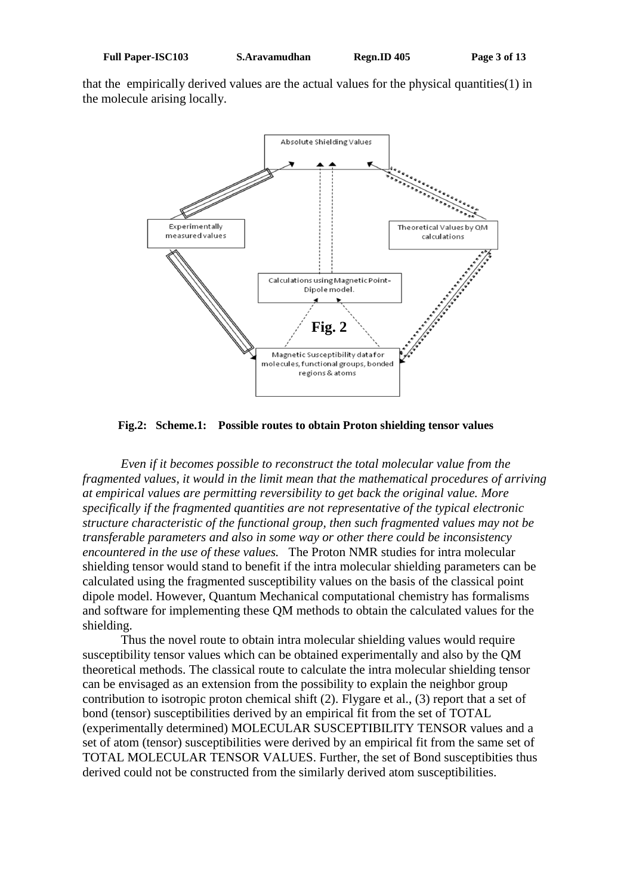that the empirically derived values are the actual values for the physical quantities(1) in the molecule arising locally.



**Fig.2: Scheme.1: Possible routes to obtain Proton shielding tensor values**

*Even if it becomes possible to reconstruct the total molecular value from the fragmented values, it would in the limit mean that the mathematical procedures of arriving at empirical values are permitting reversibility to get back the original value. More specifically if the fragmented quantities are not representative of the typical electronic structure characteristic of the functional group, then such fragmented values may not be transferable parameters and also in some way or other there could be inconsistency encountered in the use of these values.* The Proton NMR studies for intra molecular shielding tensor would stand to benefit if the intra molecular shielding parameters can be calculated using the fragmented susceptibility values on the basis of the classical point dipole model. However, Quantum Mechanical computational chemistry has formalisms and software for implementing these QM methods to obtain the calculated values for the shielding.

Thus the novel route to obtain intra molecular shielding values would require susceptibility tensor values which can be obtained experimentally and also by the QM theoretical methods. The classical route to calculate the intra molecular shielding tensor can be envisaged as an extension from the possibility to explain the neighbor group contribution to isotropic proton chemical shift (2). Flygare et al., (3) report that a set of bond (tensor) susceptibilities derived by an empirical fit from the set of TOTAL (experimentally determined) MOLECULAR SUSCEPTIBILITY TENSOR values and a set of atom (tensor) susceptibilities were derived by an empirical fit from the same set of TOTAL MOLECULAR TENSOR VALUES. Further, the set of Bond susceptibities thus derived could not be constructed from the similarly derived atom susceptibilities.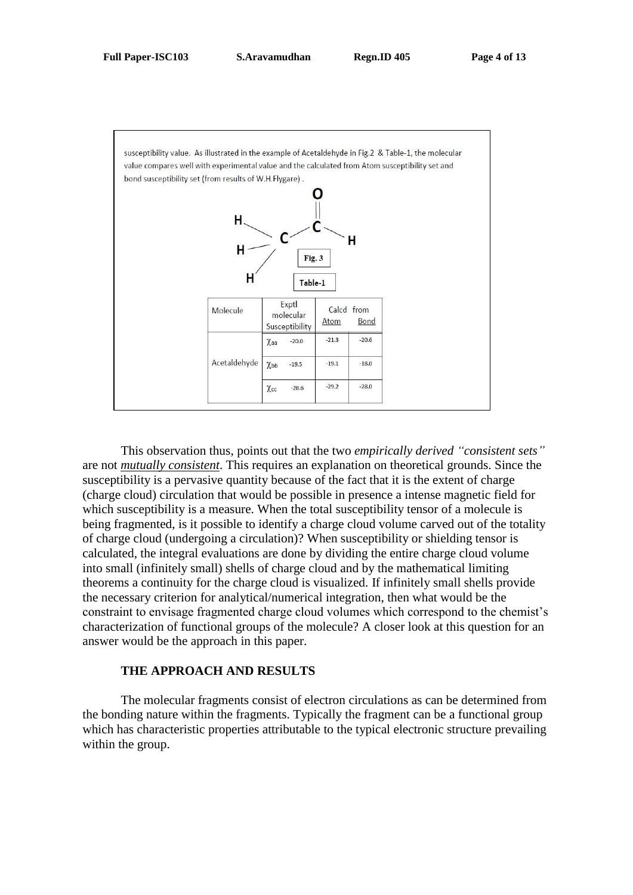

This observation thus, points out that the two *empirically derived "consistent sets"* are not *mutually consistent*. This requires an explanation on theoretical grounds. Since the susceptibility is a pervasive quantity because of the fact that it is the extent of charge (charge cloud) circulation that would be possible in presence a intense magnetic field for which susceptibility is a measure. When the total susceptibility tensor of a molecule is being fragmented, is it possible to identify a charge cloud volume carved out of the totality of charge cloud (undergoing a circulation)? When susceptibility or shielding tensor is calculated, the integral evaluations are done by dividing the entire charge cloud volume into small (infinitely small) shells of charge cloud and by the mathematical limiting theorems a continuity for the charge cloud is visualized. If infinitely small shells provide the necessary criterion for analytical/numerical integration, then what would be the constraint to envisage fragmented charge cloud volumes which correspond to the chemist's characterization of functional groups of the molecule? A closer look at this question for an answer would be the approach in this paper.

# **THE APPROACH AND RESULTS**

The molecular fragments consist of electron circulations as can be determined from the bonding nature within the fragments. Typically the fragment can be a functional group which has characteristic properties attributable to the typical electronic structure prevailing within the group.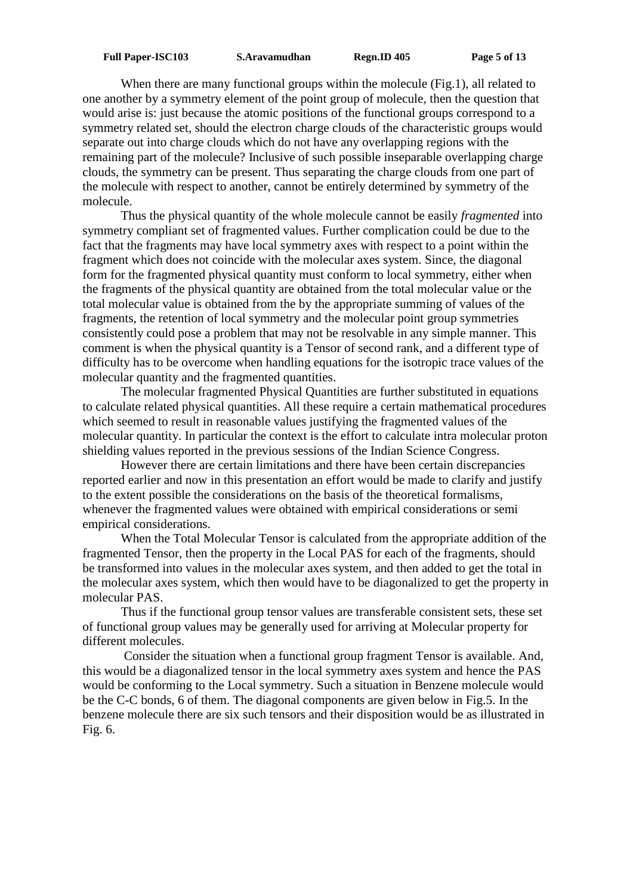When there are many functional groups within the molecule (Fig.1), all related to one another by a symmetry element of the point group of molecule, then the question that would arise is: just because the atomic positions of the functional groups correspond to a symmetry related set, should the electron charge clouds of the characteristic groups would separate out into charge clouds which do not have any overlapping regions with the remaining part of the molecule? Inclusive of such possible inseparable overlapping charge clouds, the symmetry can be present. Thus separating the charge clouds from one part of the molecule with respect to another, cannot be entirely determined by symmetry of the molecule.

Thus the physical quantity of the whole molecule cannot be easily *fragmented* into symmetry compliant set of fragmented values. Further complication could be due to the fact that the fragments may have local symmetry axes with respect to a point within the fragment which does not coincide with the molecular axes system. Since, the diagonal form for the fragmented physical quantity must conform to local symmetry, either when the fragments of the physical quantity are obtained from the total molecular value or the total molecular value is obtained from the by the appropriate summing of values of the fragments, the retention of local symmetry and the molecular point group symmetries consistently could pose a problem that may not be resolvable in any simple manner. This comment is when the physical quantity is a Tensor of second rank, and a different type of difficulty has to be overcome when handling equations for the isotropic trace values of the molecular quantity and the fragmented quantities.

The molecular fragmented Physical Quantities are further substituted in equations to calculate related physical quantities. All these require a certain mathematical procedures which seemed to result in reasonable values justifying the fragmented values of the molecular quantity. In particular the context is the effort to calculate intra molecular proton shielding values reported in the previous sessions of the Indian Science Congress.

However there are certain limitations and there have been certain discrepancies reported earlier and now in this presentation an effort would be made to clarify and justify to the extent possible the considerations on the basis of the theoretical formalisms, whenever the fragmented values were obtained with empirical considerations or semi empirical considerations.

When the Total Molecular Tensor is calculated from the appropriate addition of the fragmented Tensor, then the property in the Local PAS for each of the fragments, should be transformed into values in the molecular axes system, and then added to get the total in the molecular axes system, which then would have to be diagonalized to get the property in molecular PAS.

Thus if the functional group tensor values are transferable consistent sets, these set of functional group values may be generally used for arriving at Molecular property for different molecules.

Consider the situation when a functional group fragment Tensor is available. And, this would be a diagonalized tensor in the local symmetry axes system and hence the PAS would be conforming to the Local symmetry. Such a situation in Benzene molecule would be the C-C bonds, 6 of them. The diagonal components are given below in Fig.5. In the benzene molecule there are six such tensors and their disposition would be as illustrated in Fig. 6.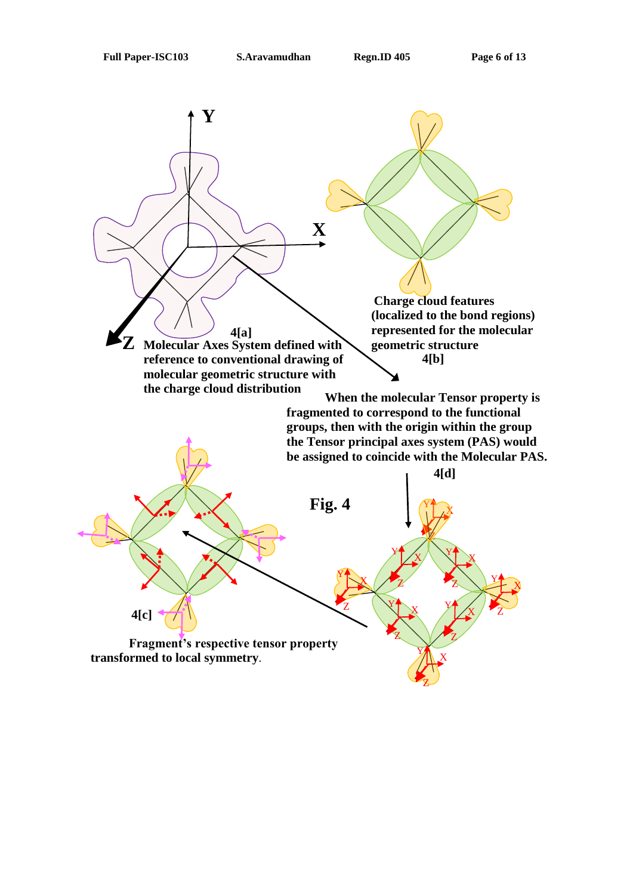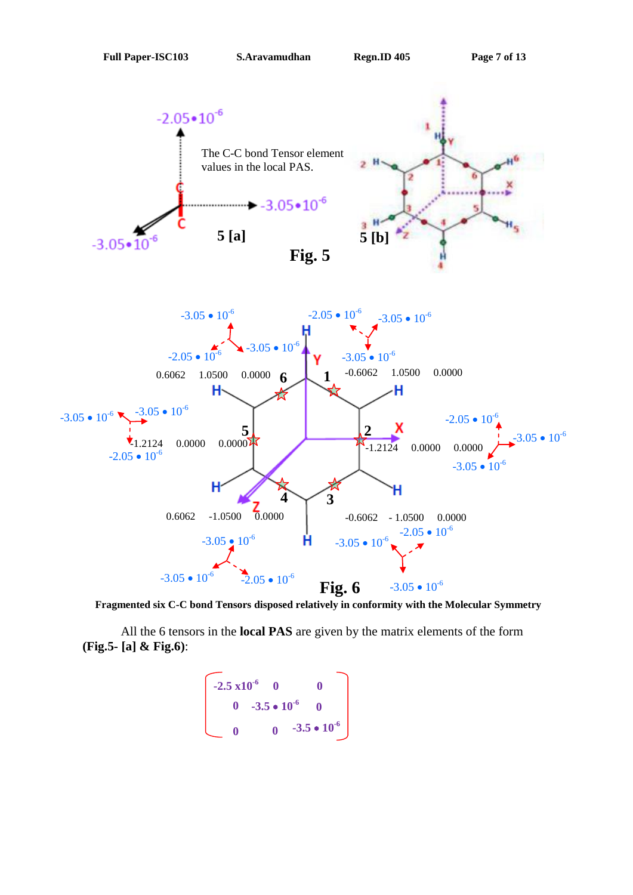

 **Fragmented six C-C bond Tensors disposed relatively in conformity with the Molecular Symmetry**

All the 6 tensors in the **local PAS** are given by the matrix elements of the form **(Fig.5- [a] & Fig.6)**:

$$
\begin{bmatrix}\n-2.5 \times 10^{-6} & 0 & 0 \\
0 & -3.5 \cdot 10^{-6} & 0 \\
0 & 0 & -3.5 \cdot 10^{-6}\n\end{bmatrix}
$$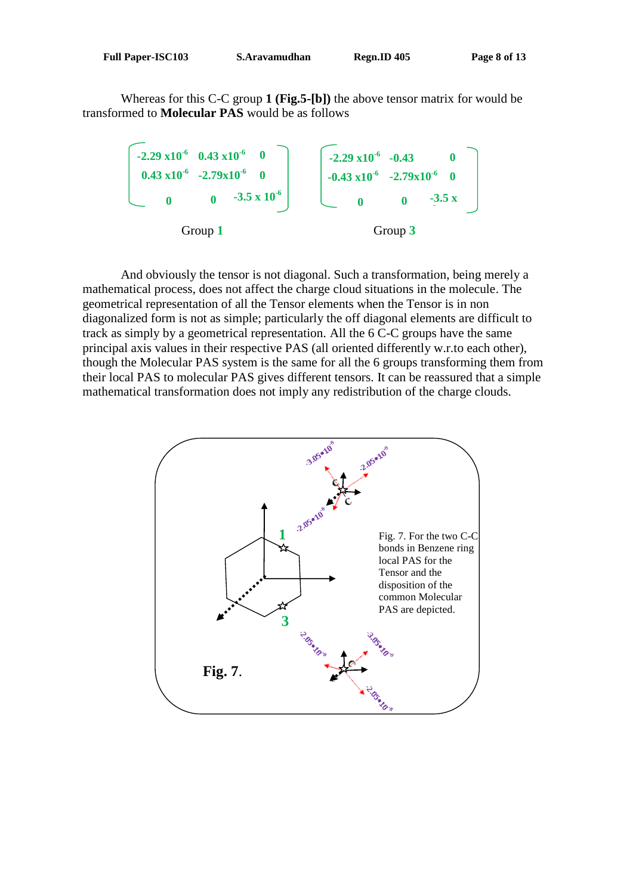Whereas for this C-C group **1 (Fig.5-[b])** the above tensor matrix for would be transformed to **Molecular PAS** would be as follows



And obviously the tensor is not diagonal. Such a transformation, being merely a mathematical process, does not affect the charge cloud situations in the molecule. The geometrical representation of all the Tensor elements when the Tensor is in non diagonalized form is not as simple; particularly the off diagonal elements are difficult to track as simply by a geometrical representation. All the 6 C-C groups have the same principal axis values in their respective PAS (all oriented differently w.r.to each other), though the Molecular PAS system is the same for all the 6 groups transforming them from their local PAS to molecular PAS gives different tensors. It can be reassured that a simple mathematical transformation does not imply any redistribution of the charge clouds.

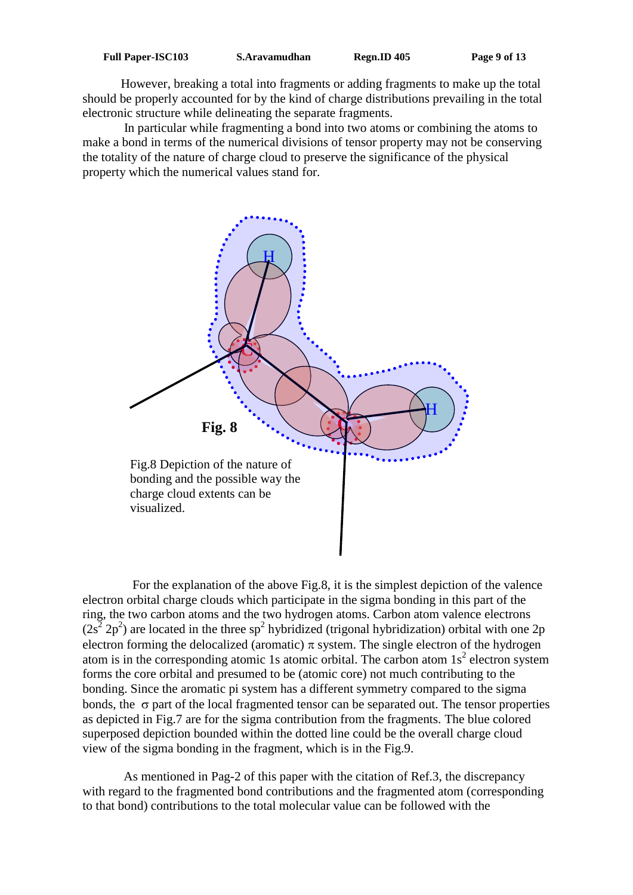However, breaking a total into fragments or adding fragments to make up the total should be properly accounted for by the kind of charge distributions prevailing in the total electronic structure while delineating the separate fragments.

In particular while fragmenting a bond into two atoms or combining the atoms to make a bond in terms of the numerical divisions of tensor property may not be conserving the totality of the nature of charge cloud to preserve the significance of the physical property which the numerical values stand for.



 For the explanation of the above Fig.8, it is the simplest depiction of the valence electron orbital charge clouds which participate in the sigma bonding in this part of the ring, the two carbon atoms and the two hydrogen atoms. Carbon atom valence electrons  $(2s^2 2p^2)$  are located in the three sp<sup>2</sup> hybridized (trigonal hybridization) orbital with one 2p electron forming the delocalized (aromatic)  $\pi$  system. The single electron of the hydrogen atom is in the corresponding atomic 1s atomic orbital. The carbon atom  $1s<sup>2</sup>$  electron system forms the core orbital and presumed to be (atomic core) not much contributing to the bonding. Since the aromatic pi system has a different symmetry compared to the sigma bonds, the  $\sigma$  part of the local fragmented tensor can be separated out. The tensor properties as depicted in Fig.7 are for the sigma contribution from the fragments. The blue colored superposed depiction bounded within the dotted line could be the overall charge cloud view of the sigma bonding in the fragment, which is in the Fig.9.

As mentioned in Pag-2 of this paper with the citation of Ref.3, the discrepancy with regard to the fragmented bond contributions and the fragmented atom (corresponding to that bond) contributions to the total molecular value can be followed with the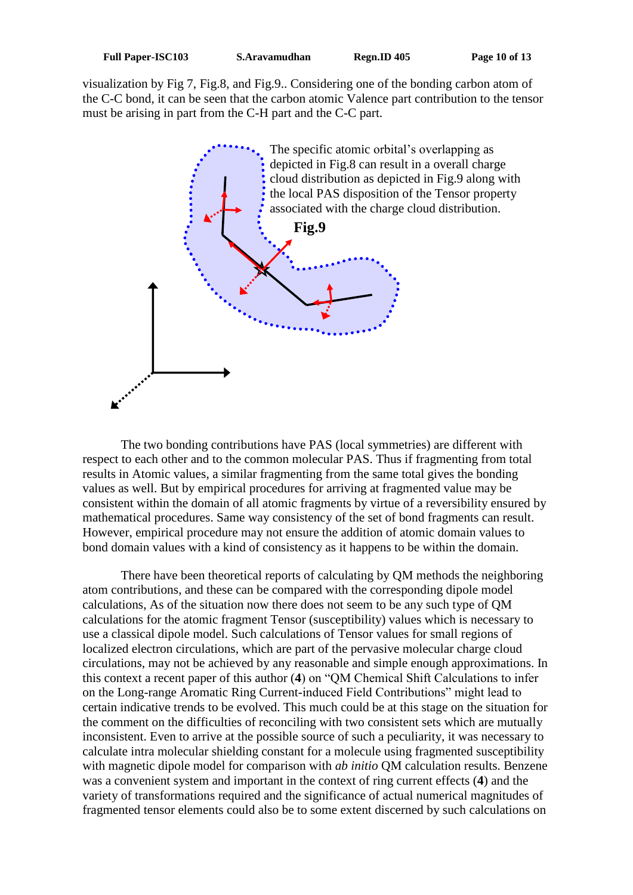visualization by Fig 7, Fig.8, and Fig.9.. Considering one of the bonding carbon atom of the C-C bond, it can be seen that the carbon atomic Valence part contribution to the tensor must be arising in part from the C-H part and the C-C part.



The two bonding contributions have PAS (local symmetries) are different with respect to each other and to the common molecular PAS. Thus if fragmenting from total results in Atomic values, a similar fragmenting from the same total gives the bonding values as well. But by empirical procedures for arriving at fragmented value may be consistent within the domain of all atomic fragments by virtue of a reversibility ensured by mathematical procedures. Same way consistency of the set of bond fragments can result. However, empirical procedure may not ensure the addition of atomic domain values to bond domain values with a kind of consistency as it happens to be within the domain.

There have been theoretical reports of calculating by QM methods the neighboring atom contributions, and these can be compared with the corresponding dipole model calculations, As of the situation now there does not seem to be any such type of QM calculations for the atomic fragment Tensor (susceptibility) values which is necessary to use a classical dipole model. Such calculations of Tensor values for small regions of localized electron circulations, which are part of the pervasive molecular charge cloud circulations, may not be achieved by any reasonable and simple enough approximations. In this context a recent paper of this author (**4**) on "QM Chemical Shift Calculations to infer on the Long-range Aromatic Ring Current-induced Field Contributions" might lead to certain indicative trends to be evolved. This much could be at this stage on the situation for the comment on the difficulties of reconciling with two consistent sets which are mutually inconsistent. Even to arrive at the possible source of such a peculiarity, it was necessary to calculate intra molecular shielding constant for a molecule using fragmented susceptibility with magnetic dipole model for comparison with *ab initio* QM calculation results. Benzene was a convenient system and important in the context of ring current effects (**4**) and the variety of transformations required and the significance of actual numerical magnitudes of fragmented tensor elements could also be to some extent discerned by such calculations on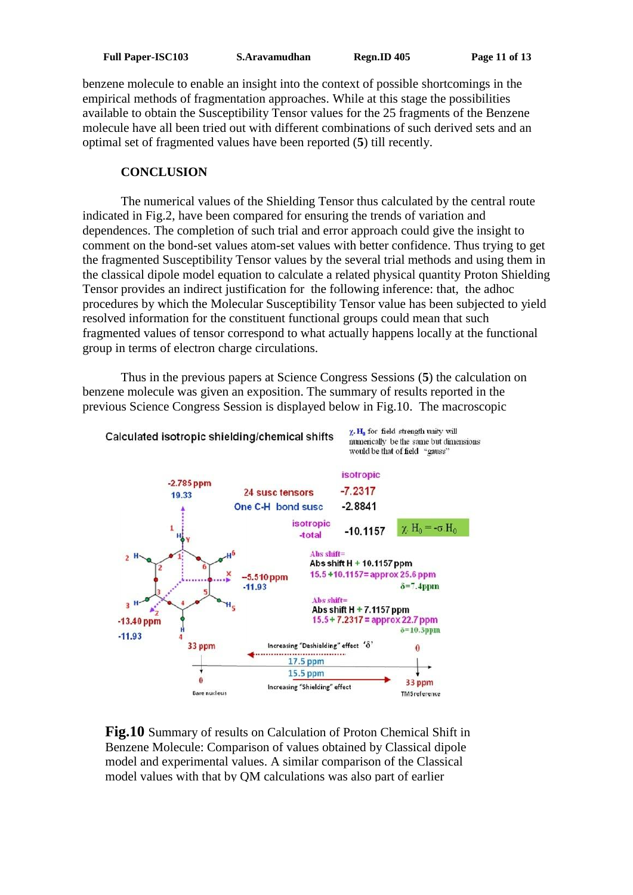benzene molecule to enable an insight into the context of possible shortcomings in the empirical methods of fragmentation approaches. While at this stage the possibilities available to obtain the Susceptibility Tensor values for the 25 fragments of the Benzene molecule have all been tried out with different combinations of such derived sets and an optimal set of fragmented values have been reported (**5**) till recently.

# **CONCLUSION**

The numerical values of the Shielding Tensor thus calculated by the central route indicated in Fig.2, have been compared for ensuring the trends of variation and dependences. The completion of such trial and error approach could give the insight to comment on the bond-set values atom-set values with better confidence. Thus trying to get the fragmented Susceptibility Tensor values by the several trial methods and using them in the classical dipole model equation to calculate a related physical quantity Proton Shielding Tensor provides an indirect justification for the following inference: that, the adhoc procedures by which the Molecular Susceptibility Tensor value has been subjected to yield resolved information for the constituent functional groups could mean that such fragmented values of tensor correspond to what actually happens locally at the functional group in terms of electron charge circulations.

Thus in the previous papers at Science Congress Sessions (**5**) the calculation on benzene molecule was given an exposition. The summary of results reported in the previous Science Congress Session is displayed below in Fig.10. The macroscopic 



**Fig.10** Summary of results on Calculation of Proton Chemical Shift in Benzene Molecule: Comparison of values obtained by Classical dipole model and experimental values. A similar comparison of the Classical model values with that by QM calculations was also part of earlier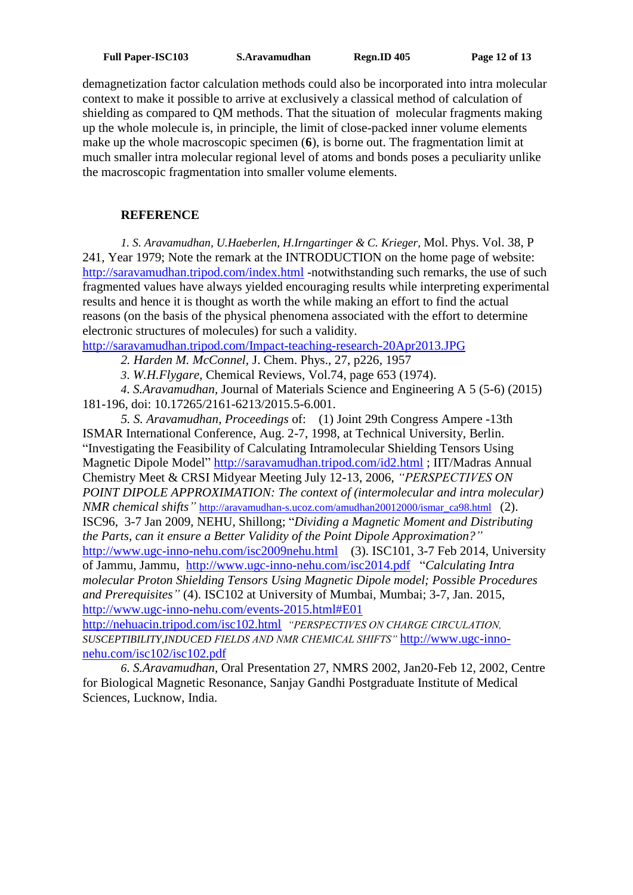demagnetization factor calculation methods could also be incorporated into intra molecular context to make it possible to arrive at exclusively a classical method of calculation of shielding as compared to QM methods. That the situation of molecular fragments making up the whole molecule is, in principle, the limit of close-packed inner volume elements make up the whole macroscopic specimen (**6**), is borne out. The fragmentation limit at much smaller intra molecular regional level of atoms and bonds poses a peculiarity unlike the macroscopic fragmentation into smaller volume elements.

# **REFERENCE**

*1. S. Aravamudhan, U.Haeberlen, H.Irngartinger & C. Krieger,* Mol. Phys. Vol. 38, P 241, Year 1979; Note the remark at the INTRODUCTION on the home page of website: <http://saravamudhan.tripod.com/index.html> -notwithstanding such remarks, the use of such fragmented values have always yielded encouraging results while interpreting experimental results and hence it is thought as worth the while making an effort to find the actual reasons (on the basis of the physical phenomena associated with the effort to determine electronic structures of molecules) for such a validity.

<http://saravamudhan.tripod.com/Impact-teaching-research-20Apr2013.JPG>

*2. Harden M. McConnel,* J. Chem. Phys., 27, p226, 1957

*3*. *W.H.Flygare*, Chemical Reviews, Vol.74, page 653 (1974).

*4*. *S.Aravamudhan,* Journal of Materials Science and Engineering A 5 (5-6) (2015) 181-196, doi: 10.17265/2161-6213/2015.5-6.001.

*5. S. Aravamudhan, Proceedings* of: (1) Joint 29th Congress Ampere -13th ISMAR International Conference, Aug. 2-7, 1998, at Technical University, Berlin. "Investigating the Feasibility of Calculating Intramolecular Shielding Tensors Using Magnetic Dipole Model"<http://saravamudhan.tripod.com/id2.html> ; IIT/Madras Annual Chemistry Meet & CRSI Midyear Meeting July 12-13, 2006, *"PERSPECTIVES ON POINT DIPOLE APPROXIMATION: The context of (intermolecular and intra molecular) NMR chemical shifts*" [http://aravamudhan-s.ucoz.com/amudhan20012000/ismar\\_ca98.html](http://aravamudhan-s.ucoz.com/amudhan20012000/ismar_ca98.html) (2). ISC96, 3-7 Jan 2009, NEHU, Shillong; "*Dividing a Magnetic Moment and Distributing the Parts, can it ensure a Better Validity of the Point Dipole Approximation?"* <http://www.ugc-inno-nehu.com/isc2009nehu.html>(3). ISC101, 3-7 Feb 2014, University of Jammu, Jammu, <http://www.ugc-inno-nehu.com/isc2014.pdf>"*Calculating Intra molecular Proton Shielding Tensors Using Magnetic Dipole model; Possible Procedures and Prerequisites"* (4). ISC102 at University of Mumbai, Mumbai; 3-7, Jan. 2015, <http://www.ugc-inno-nehu.com/events-2015.html#E01>

<http://nehuacin.tripod.com/isc102.html>*"PERSPECTIVES ON CHARGE CIRCULATION, SUSCEPTIBILITY,INDUCED FIELDS AND NMR CHEMICAL SHIFTS"* [http://www.ugc-inno](http://www.ugc-inno-nehu.com/isc102/isc102.pdf)[nehu.com/isc102/isc102.pdf](http://www.ugc-inno-nehu.com/isc102/isc102.pdf)

*6*. *S.Aravamudhan,* Oral Presentation 27, NMRS 2002, Jan20-Feb 12, 2002, Centre for Biological Magnetic Resonance, Sanjay Gandhi Postgraduate Institute of Medical Sciences, Lucknow, India.